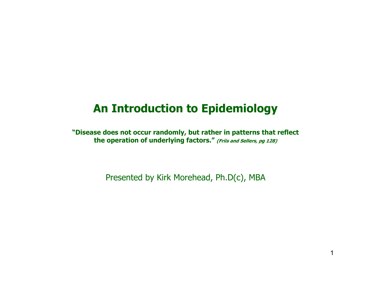## **An Introduction to Epidemiology**

**"Disease does not occur randomly, but rather in patterns that reflect**  the operation of underlying factors." (Friis and Sellers, pg 128)

Presented by Kirk Morehead, Ph.D(c), MBA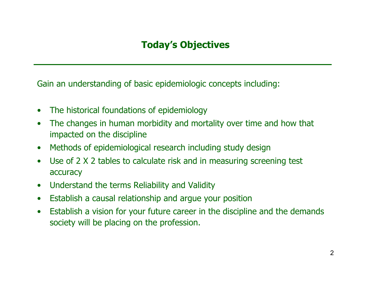## **Today's Objectives**

Gain an understanding of basic epidemiologic concepts including:

- $\bullet$ The historical foundations of epidemiology
- $\bullet$ The changes in human morbidity and mortality over time and how that impacted on the discipline
- $\bullet$ Methods of epidemiological research including study design
- $\bullet$ Use of 2 X 2 tables to calculate risk and in measuring screening test accuracy
- $\bullet$ Understand the terms Reliability and Validity
- $\bullet$ Establish a causal relationship and argue your position
- $\bullet$ Establish a vision for your future career in the discipline and the demands society will be placing on the profession.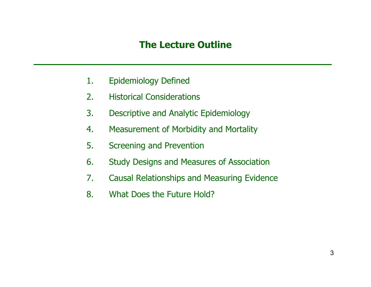#### **The Lecture Outline**

- 1. Epidemiology Defined
- 2. Historical Considerations
- 3. Descriptive and Analytic Epidemiology
- 4. Measurement of Morbidity and Mortality
- 5. Screening and Prevention
- 6. Study Designs and Measures of Association
- 7. Causal Relationships and Measuring Evidence
- 8. What Does the Future Hold?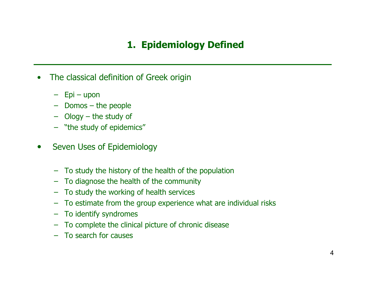## **1. Epidemiology Defined**

- $\bullet$ The classical definition of Greek origin
	- Epi upon
	- Domos the people
	- Ology the study of
	- "the study of epidemics"
- $\bullet$ Seven Uses of Epidemiology
	- To study the history of the health of the population
	- To diagnose the health of the community
	- To study the working of health services
	- To estimate from the group experience what are individual risks
	- To identify syndromes
	- To complete the clinical picture of chronic disease
	- To search for causes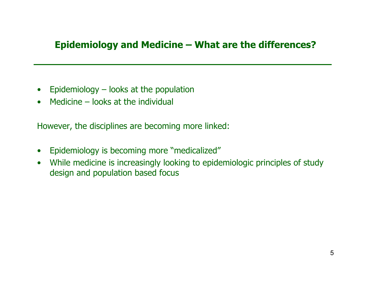## **Epidemiology and Medicine – What are the differences?**

- $\bullet$ Epidemiology – looks at the population
- $\bullet$ Medicine – looks at the individual

However, the disciplines are becoming more linked:

- $\bullet$ Epidemiology is becoming more "medicalized"
- $\bullet$ While medicine is increasingly looking to epidemiologic principles of study design and population based focus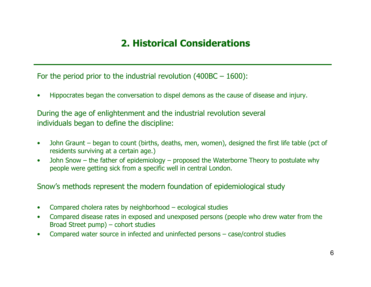## **2. Historical Considerations**

For the period prior to the industrial revolution (400BC – 1600):

•Hippocrates began the conversation to dispel demons as the cause of disease and injury.

During the age of enlightenment and the industrial revolution several individuals began to define the discipline:

- $\bullet$ John Graunt – began to count (births, deaths, men, women), designed the first life table (pct of residents surviving at a certain age.)
- •John Snow – the father of epidemiology – proposed the Waterborne Theory to postulate why people were getting sick from a specific well in central London.

Snow's methods represent the modern foundation of epidemiological study

- •Compared cholera rates by neighborhood – ecological studies
- $\bullet$ Compared disease rates in exposed and unexposed persons (people who drew water from the Broad Street pump) – cohort studies
- •Compared water source in infected and uninfected persons – case/control studies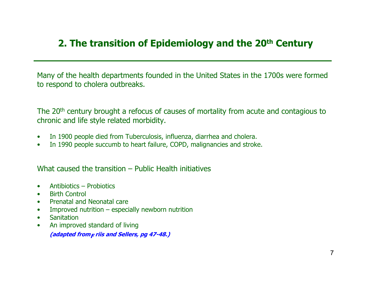## **2. The transition of Epidemiology and the 20th Century**

Many of the health departments founded in the United States in the 1700s were formed to respond to cholera outbreaks.

The 20<sup>th</sup> century brought a refocus of causes of mortality from acute and contagious to chronic and life style related morbidity.

- $\bullet$ In 1900 people died from Tuberculosis, influenza, diarrhea and cholera.
- $\bullet$ In 1990 people succumb to heart failure, COPD, malignancies and stroke.

What caused the transition – Public Health initiatives

- Antibiotics – Probiotics
- Birth Control
- $\bullet$ Prenatal and Neonatal care
- Improved nutrition – especially newborn nutrition
- **Sanitation**
- $\bullet$ An improved standard of living

(adapted from<sub>F</sub> riis and Sellers, pg 47-48.)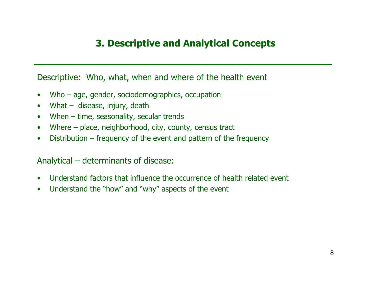#### **3. Descriptive and Analytical Concepts**

#### Descriptive: Who, what, when and where of the health event

- Who – age, gender, sociodemographics, occupation
- What  $-$  disease, injury, death
- $\bullet$ When – time, seasonality, secular trends
- $\bullet$ Where – place, neighborhood, city, county, census tract
- $\bullet$ Distribution – frequency of the event and pattern of the frequency

#### Analytical – determinants of disease:

- $\bullet$ Understand factors that influence the occurrence of health related event
- $\bullet$ Understand the "how" and "why" aspects of the event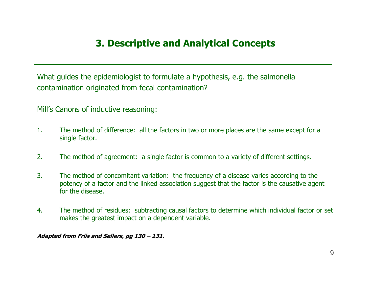#### **3. Descriptive and Analytical Concepts**

What guides the epidemiologist to formulate a hypothesis, e.g. the salmonella contamination originated from fecal contamination?

Mill's Canons of inductive reasoning:

- 1.The method of difference: all the factors in two or more places are the same except for a single factor.
- 2.The method of agreement: a single factor is common to a variety of different settings.
- 3.The method of concomitant variation: the frequency of a disease varies according to the potency of a factor and the linked association suggest that the factor is the causative agent for the disease.
- 4.The method of residues: subtracting causal factors to determine which individual factor or set makes the greatest impact on a dependent variable.

**Adapted from Friis and Sellers, pg 130 – 131.**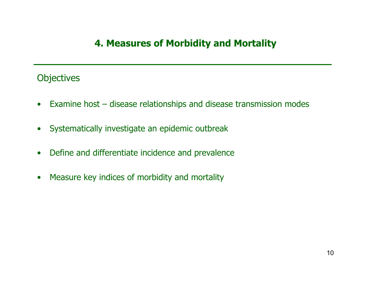### **4. Measures of Morbidity and Mortality**

#### **Objectives**

- $\bullet$ Examine host – disease relationships and disease transmission modes
- $\bullet$ Systematically investigate an epidemic outbreak
- $\bullet$ Define and differentiate incidence and prevalence
- $\bullet$ Measure key indices of morbidity and mortality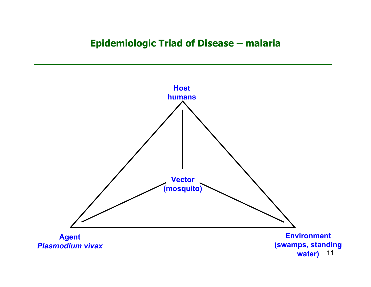#### **Epidemiologic Triad of Disease – malaria**

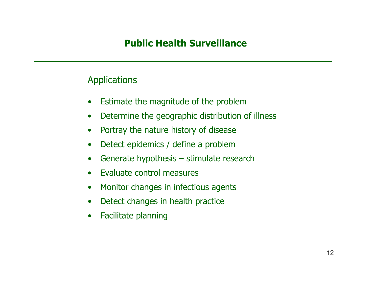#### **Public Health Surveillance**

#### **Applications**

- $\bullet$ Estimate the magnitude of the problem
- $\bullet$ Determine the geographic distribution of illness
- $\bullet$ Portray the nature history of disease
- $\bullet$ Detect epidemics / define a problem
- $\bullet$ Generate hypothesis – stimulate research
- $\bullet$ Evaluate control measures
- $\bullet$ Monitor changes in infectious agents
- $\bullet$ Detect changes in health practice
- $\bullet$ Facilitate planning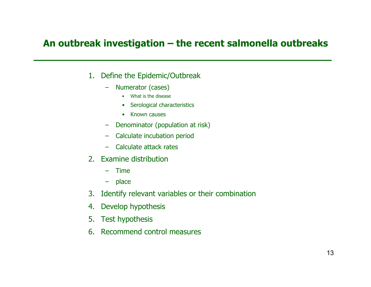#### **An outbreak investigation – the recent salmonella outbreaks**

- 1. Define the Epidemic/Outbreak
	- Numerator (cases)
		- What is the disease
		- Serological characteristics
		- Known causes
	- Denominator (population at risk)
	- Calculate incubation period
	- Calculate attack rates
- 2. Examine distribution
	- –Time
	- place
- 3. Identify relevant variables or their combination
- 4. Develop hypothesis
- 5. Test hypothesis
- 6. Recommend control measures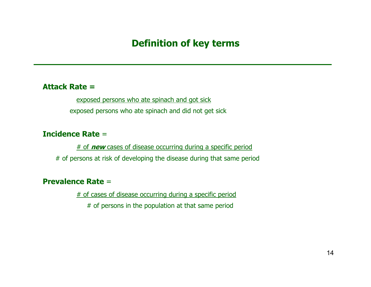#### **Definition of key terms**

#### **Attack Rate =**

exposed persons who ate spinach and got sick

exposed persons who ate spinach and did not get sick

#### **Incidence Rate** =

# of **new** cases of disease occurring during a specific period

# of persons at risk of developing the disease during that same period

#### **Prevalence Rate** =

# of cases of disease occurring during a specific period

# of persons in the population at that same period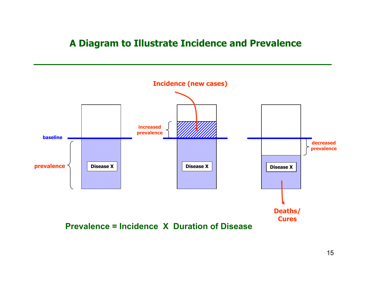#### **A Diagram to Illustrate Incidence and Prevalence**



**Prevalence = Incidence X Duration of Disease**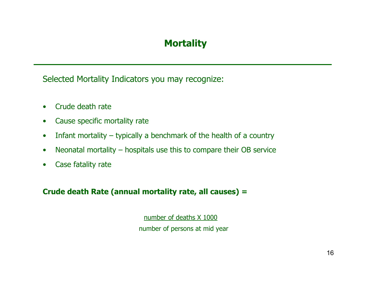## **Mortality**

Selected Mortality Indicators you may recognize:

- Crude death rate
- $\bullet$ Cause specific mortality rate
- $\bullet$ Infant mortality – typically a benchmark of the health of a country
- $\bullet$ Neonatal mortality – hospitals use this to compare their OB service
- $\bullet$ Case fatality rate

#### **Crude death Rate (annual mortality rate, all causes) =**

number of deaths X 1000

number of persons at mid year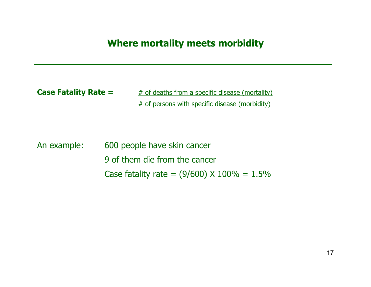#### **Where mortality meets morbidity**

**Case Fatality Rate =**  $#$  of deaths from a specific disease (mortality) # of persons with specific disease (morbidity)

An example: 600 people have skin cancer 9 of them die from the cancer Case fatality rate =  $(9/600)$  X 100% = 1.5%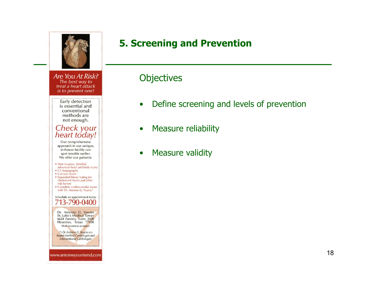

Are You At Risk? The best way to treat a heart attack is to prevent one!

> Early detection is essential and conventional methods are not enough.

# Check your<br>heart today!

Our comprehensive approach in our unique, in-house facility can spot trouble earlier. We offer our patients:

- · Non-invasive, detailed, advanced heart and body scans
- CT Angiography
- Calcium Score • Expanded blood testing for cholesterol levels and other risk factors
- · Complete cardiovascular exam with Dr. Antoine G. Younis\*

#### Schedule an appointment today 713-790-0400

Dr. Antoine G. Younis St. Luke's Medical Tower 6624 Fannin, Suite 2420 Houston, Texas 77030 Most insurances accepted.

(\*) Dr. Antoine G. Younis is a board certified Cardiologist and Interventional Cardiologist.

www.antoineyounismd.com

## **5. Screening and Prevention**

#### **Objectives**

- $\bullet$ Define screening and levels of prevention
- $\bullet$ Measure reliability
- •Measure validity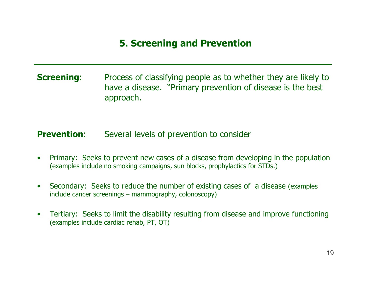#### **5. Screening and Prevention**

**Screening:** Process of classifying people as to whether they are likely to have a disease. "Primary prevention of disease is the best approach.

#### **Prevention**:Several levels of prevention to consider

- $\bullet$ Primary: Seeks to prevent new cases of a disease from developing in the population (examples include no smoking campaigns, sun blocks, prophylactics for STDs.)
- $\bullet$ Secondary: Seeks to reduce the number of existing cases of a disease (examples include cancer screenings – mammography, colonoscopy)
- •Tertiary: Seeks to limit the disability resulting from disease and improve functioning (examples include cardiac rehab, PT, OT)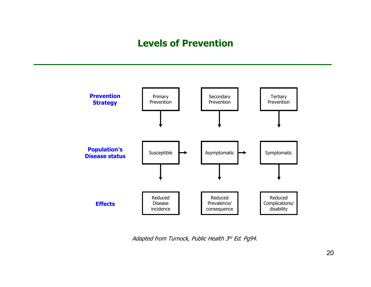#### **Levels of Prevention**



Adapted from Turnock, Public Health 3<sup>rd</sup> Ed. Pg94.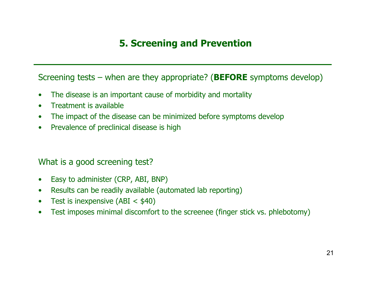## **5. Screening and Prevention**

Screening tests – when are they appropriate? (**BEFORE** symptoms develop)

- $\bullet$ The disease is an important cause of morbidity and mortality
- $\bullet$ Treatment is available
- $\bullet$ The impact of the disease can be minimized before symptoms develop
- $\bullet$ Prevalence of preclinical disease is high

#### What is a good screening test?

- $\bullet$ Easy to administer (CRP, ABI, BNP)
- $\bullet$ Results can be readily available (automated lab reporting)
- $\bullet$ Test is inexpensive  $(ABI < $40)$
- $\bullet$ Test imposes minimal discomfort to the screenee (finger stick vs. phlebotomy)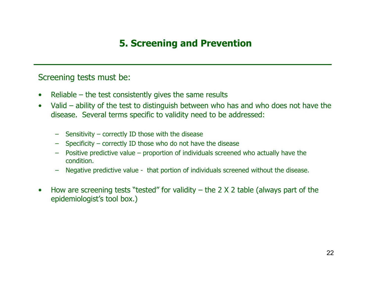## **5. Screening and Prevention**

#### Screening tests must be:

- $\bullet$ Reliable – the test consistently gives the same results
- $\bullet$ Valid – ability of the test to distinguish between who has and who does not have the disease. Several terms specific to validity need to be addressed:
	- –Sensitivity – correctly ID those with the disease
	- Specificity correctly ID those who do not have the disease
	- –Positive predictive value – proportion of individuals screened who actually have the condition.
	- Negative predictive value that portion of individuals screened without the disease.
- •How are screening tests "tested" for validity  $-$  the 2 X 2 table (always part of the epidemiologist's tool box.)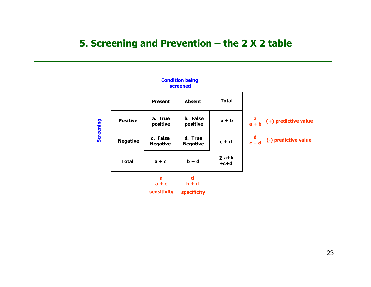#### **5. Screening and Prevention – the 2 X 2 table**

**Condition being** 

|                  | screened        |                                |                                |                        |                                         |
|------------------|-----------------|--------------------------------|--------------------------------|------------------------|-----------------------------------------|
|                  |                 | <b>Present</b>                 | <b>Absent</b>                  | <b>Total</b>           |                                         |
| <b>Screening</b> | <b>Positive</b> | a. True<br>positive            | b. False<br>positive           | $a + b$                | $\frac{a}{a+b}$<br>(+) predictive value |
|                  | <b>Negative</b> | c. False<br><b>Negative</b>    | d. True<br><b>Negative</b>     | $c + d$                | $\frac{d}{c+d}$<br>(-) predictive value |
|                  | <b>Total</b>    | $a + c$                        | $b + d$                        | $\Sigma$ a+b<br>$+c+d$ |                                         |
|                  |                 | $\frac{a}{a+c}$<br>sensitivity | $\frac{d}{b+d}$<br>specificity |                        |                                         |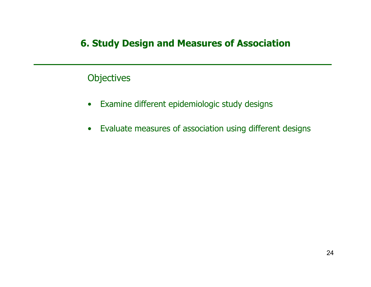#### **Objectives**

- $\bullet$ Examine different epidemiologic study designs
- $\bullet$ Evaluate measures of association using different designs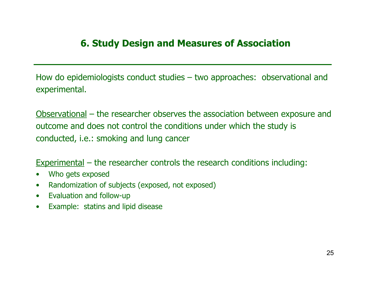How do epidemiologists conduct studies – two approaches: observational and experimental.

Observational – the researcher observes the association between exposure and outcome and does not control the conditions under which the study is conducted, i.e.: smoking and lung cancer

Experimental – the researcher controls the research conditions including:

- $\bullet$ Who gets exposed
- $\bullet$ Randomization of subjects (exposed, not exposed)
- $\bullet$ Evaluation and follow-up
- Example: statins and lipid disease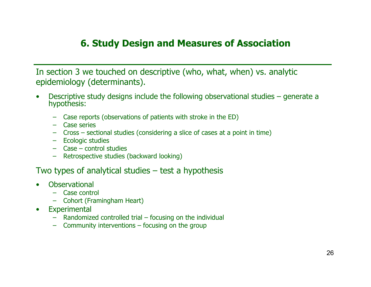In section 3 we touched on descriptive (who, what, when) vs. analytic epidemiology (determinants).

- •Descriptive study designs include the following observational studies – generate a hypothesis:
	- Case reports (observations of patients with stroke in the ED)
	- Case series
	- Cross – sectional studies (considering a slice of cases at a point in time)
	- Ecologic studies
	- Case control studies
	- Retrospective studies (backward looking)

#### Two types of analytical studies – test a hypothesis

- •**Observational** 
	- Case control
	- Cohort (Framingham Heart)
- $\bullet$ **Experimental** 
	- Randomized controlled trial focusing on the individual
	- Community interventions focusing on the group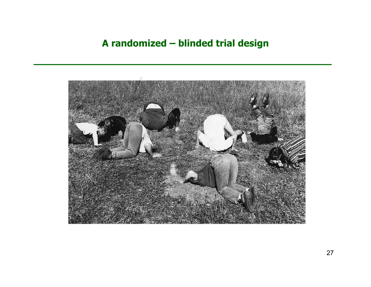#### **A randomized – blinded trial design**

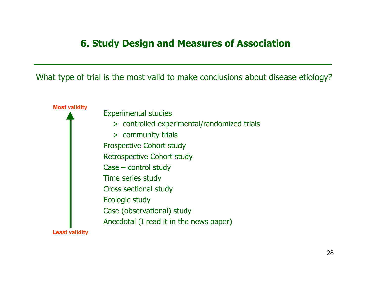What type of trial is the most valid to make conclusions about disease etiology?

**Most validity Least validity**  Experimental studies > controlled experimental/randomized trials > community trials Prospective Cohort study Retrospective Cohort study Case – control study Time series study Cross sectional study Ecologic study Case (observational) study Anecdotal (I read it in the news paper)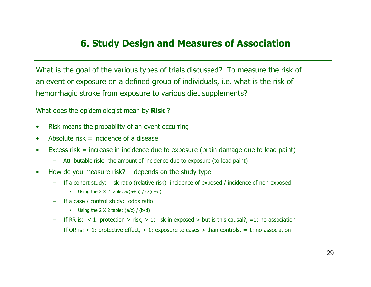What is the goal of the various types of trials discussed? To measure the risk of an event or exposure on a defined group of individuals, i.e. what is the risk of hemorrhagic stroke from exposure to various diet supplements?

What does the epidemiologist mean by **Risk** ?

- $\bullet$ Risk means the probability of an event occurring
- Absolute risk  $=$  incidence of a disease
- Excess risk = increase in incidence due to exposure (brain damage due to lead paint)
	- Attributable risk: the amount of incidence due to exposure (to lead paint)
- How do you measure risk? - depends on the study type
	- If a cohort study: risk ratio (relative risk) incidence of exposed / incidence of non exposed
		- Using the 2 X 2 table,  $a/(a+b) / c/(c+d)$
	- If a case / control study: odds ratio
		- Using the 2 X 2 table: (a/c) / (b/d)
	- If RR is:  $\lt 1$ : protection  $>$  risk,  $> 1$ : risk in exposed  $>$  but is this causal?,  $=1$ : no association
	- If OR is:  $<$  1: protective effect,  $>$  1: exposure to cases  $>$  than controls, = 1: no association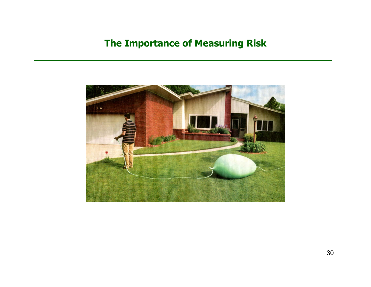#### **The Importance of Measuring Risk**

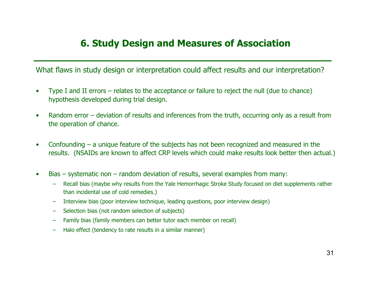What flaws in study design or interpretation could affect results and our interpretation?

- •Type I and II errors – relates to the acceptance or failure to reject the null (due to chance) hypothesis developed during trial design.
- $\bullet$ Random error – deviation of results and inferences from the truth, occurring only as a result from the operation of chance.
- $\bullet$ Confounding – a unique feature of the subjects has not been recognized and measured in the results. (NSAIDs are known to affect CRP levels which could make results look better then actual.)
- $\bullet$ Bias – systematic non – random deviation of results, several examples from many:
	- Recall bias (maybe why results from the Yale Hemorrhagic Stroke Study focused on diet supplements rather than incidental use of cold remedies.)
	- –Interview bias (poor interview technique, leading questions, poor interview design)
	- –Selection bias (not random selection of subjects)
	- –Family bias (family members can better tutor each member on recall)
	- Halo effect (tendency to rate results in a similar manner)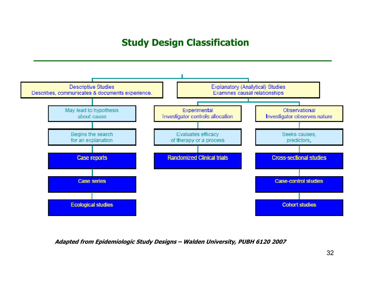## **Study Design Classification**



**Adapted from Epidemiologic Study Designs – Walden University, PUBH 6120 2007**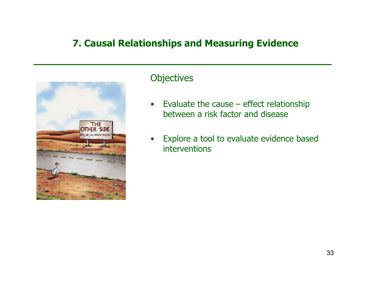#### **7. Causal Relationships and Measuring Evidence**



#### **Objectives**

- $\bullet$ Evaluate the cause  $-$  effect relationship between a risk factor and disease
- •Explore a tool to evaluate evidence based interventions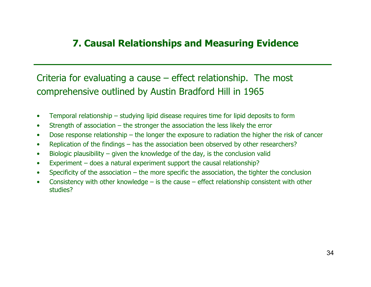#### **7. Causal Relationships and Measuring Evidence**

### Criteria for evaluating a cause – effect relationship. The most comprehensive outlined by Austin Bradford Hill in 1965

- •Temporal relationship – studying lipid disease requires time for lipid deposits to form
- •Strength of association – the stronger the association the less likely the error
- •Dose response relationship – the longer the exposure to radiation the higher the risk of cancer
- •Replication of the findings – has the association been observed by other researchers?
- •Biologic plausibility – given the knowledge of the day, is the conclusion valid
- •Experiment – does a natural experiment support the causal relationship?
- •Specificity of the association – the more specific the association, the tighter the conclusion
- •Consistency with other knowledge – is the cause – effect relationship consistent with other studies?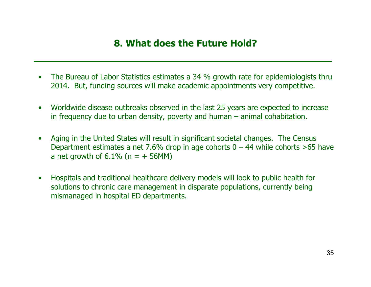#### **8. What does the Future Hold?**

- •The Bureau of Labor Statistics estimates a 34 % growth rate for epidemiologists thru 2014. But, funding sources will make academic appointments very competitive.
- $\bullet$ Worldwide disease outbreaks observed in the last 25 years are expected to increase in frequency due to urban density, poverty and human – animal cohabitation.
- •Aging in the United States will result in significant societal changes. The Census Department estimates a net 7.6% drop in age cohorts  $0 - 44$  while cohorts >65 have a net growth of  $6.1\%$  (n =  $+$  56MM)
- $\bullet$ Hospitals and traditional healthcare delivery models will look to public health for solutions to chronic care management in disparate populations, currently being mismanaged in hospital ED departments.